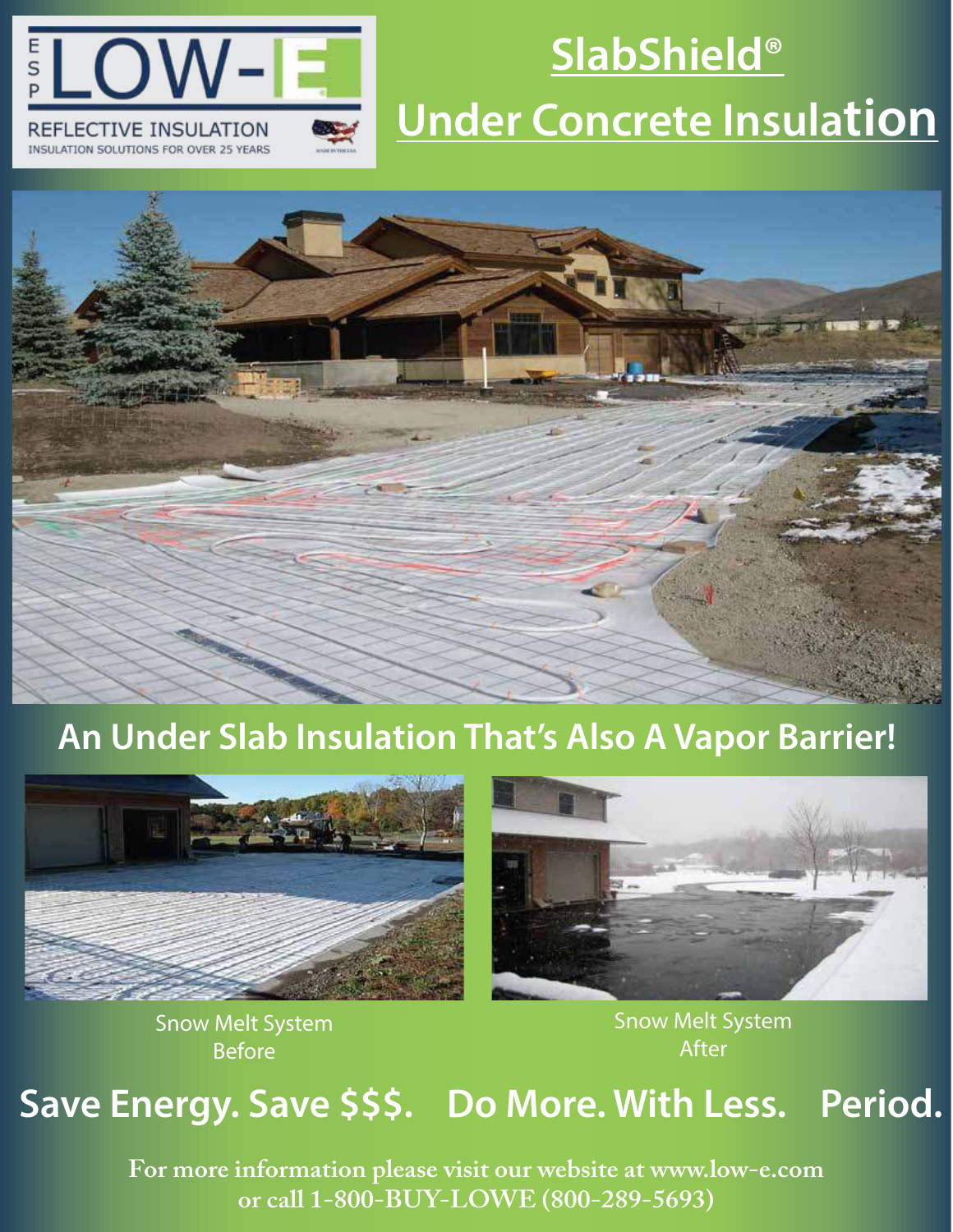

# **SlabShield® Under Concrete Insulation**



### **An Under Slab Insulation That's Also A Vapor Barrier!**



Snow Melt System Before



Snow Melt System After

# **Save Energy. Save \$\$\$. Do More. With Less. Period.**

**For more information please visit our website at www.low-e.com or call 1-800-BUY-LOWE (800-289-5693)**